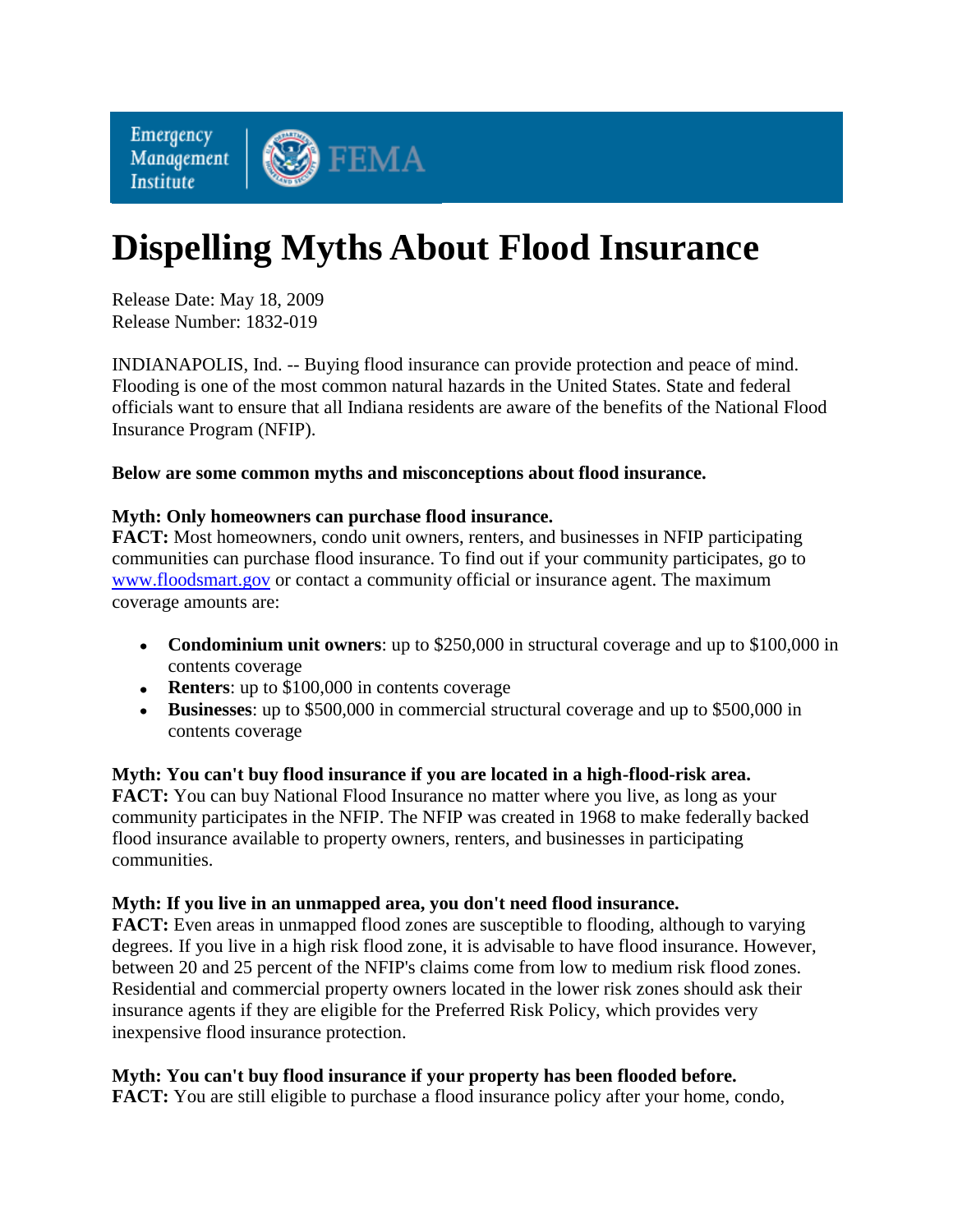Emergency Management Institute



# **Dispelling Myths About Flood Insurance**

Release Date: May 18, 2009 Release Number: 1832-019

INDIANAPOLIS, Ind. -- Buying flood insurance can provide protection and peace of mind. Flooding is one of the most common natural hazards in the United States. State and federal officials want to ensure that all Indiana residents are aware of the benefits of the National Flood Insurance Program (NFIP).

## **Below are some common myths and misconceptions about flood insurance.**

## **Myth: Only homeowners can purchase flood insurance.**

**FACT:** Most homeowners, condo unit owners, renters, and businesses in NFIP participating communities can purchase flood insurance. To find out if your community participates, go to [www.floodsmart.gov](http://www.floodsmart.gov/) or contact a community official or insurance agent. The maximum coverage amounts are:

- **Condominium unit owners**: up to \$250,000 in structural coverage and up to \$100,000 in contents coverage
- **Renters**: up to \$100,000 in contents coverage
- **Businesses**: up to \$500,000 in commercial structural coverage and up to \$500,000 in contents coverage

## **Myth: You can't buy flood insurance if you are located in a high-flood-risk area.**

**FACT:** You can buy National Flood Insurance no matter where you live, as long as your community participates in the NFIP. The NFIP was created in 1968 to make federally backed flood insurance available to property owners, renters, and businesses in participating communities.

## **Myth: If you live in an unmapped area, you don't need flood insurance.**

**FACT:** Even areas in unmapped flood zones are susceptible to flooding, although to varying degrees. If you live in a high risk flood zone, it is advisable to have flood insurance. However, between 20 and 25 percent of the NFIP's claims come from low to medium risk flood zones. Residential and commercial property owners located in the lower risk zones should ask their insurance agents if they are eligible for the Preferred Risk Policy, which provides very inexpensive flood insurance protection.

## **Myth: You can't buy flood insurance if your property has been flooded before.**

**FACT:** You are still eligible to purchase a flood insurance policy after your home, condo,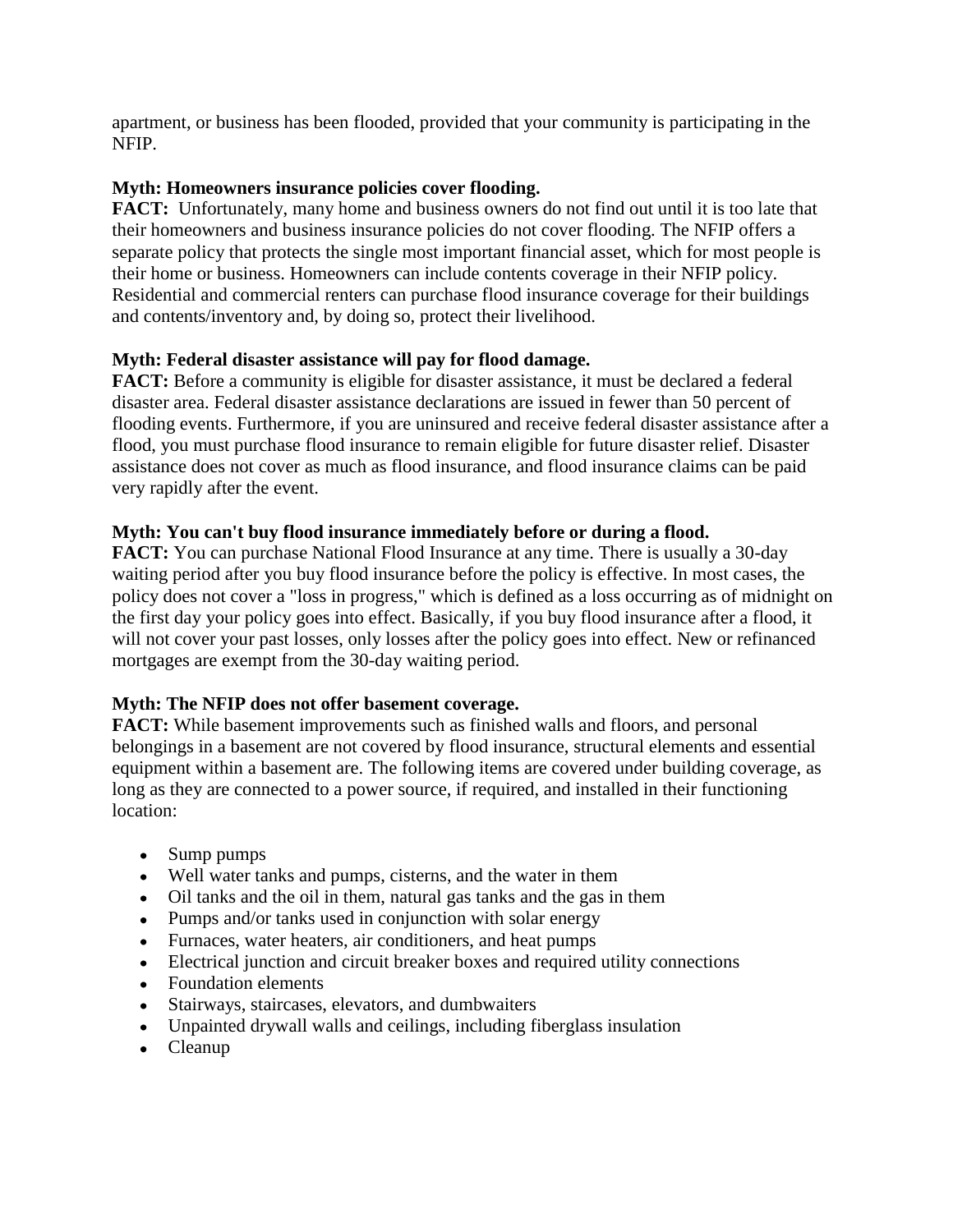apartment, or business has been flooded, provided that your community is participating in the NFIP.

## **Myth: Homeowners insurance policies cover flooding.**

**FACT:** Unfortunately, many home and business owners do not find out until it is too late that their homeowners and business insurance policies do not cover flooding. The NFIP offers a separate policy that protects the single most important financial asset, which for most people is their home or business. Homeowners can include contents coverage in their NFIP policy. Residential and commercial renters can purchase flood insurance coverage for their buildings and contents/inventory and, by doing so, protect their livelihood.

## **Myth: Federal disaster assistance will pay for flood damage.**

**FACT:** Before a community is eligible for disaster assistance, it must be declared a federal disaster area. Federal disaster assistance declarations are issued in fewer than 50 percent of flooding events. Furthermore, if you are uninsured and receive federal disaster assistance after a flood, you must purchase flood insurance to remain eligible for future disaster relief. Disaster assistance does not cover as much as flood insurance, and flood insurance claims can be paid very rapidly after the event.

### **Myth: You can't buy flood insurance immediately before or during a flood.**

**FACT:** You can purchase National Flood Insurance at any time. There is usually a 30-day waiting period after you buy flood insurance before the policy is effective. In most cases, the policy does not cover a "loss in progress," which is defined as a loss occurring as of midnight on the first day your policy goes into effect. Basically, if you buy flood insurance after a flood, it will not cover your past losses, only losses after the policy goes into effect. New or refinanced mortgages are exempt from the 30-day waiting period.

## **Myth: The NFIP does not offer basement coverage.**

**FACT:** While basement improvements such as finished walls and floors, and personal belongings in a basement are not covered by flood insurance, structural elements and essential equipment within a basement are. The following items are covered under building coverage, as long as they are connected to a power source, if required, and installed in their functioning location:

- Sump pumps
- Well water tanks and pumps, cisterns, and the water in them
- Oil tanks and the oil in them, natural gas tanks and the gas in them
- Pumps and/or tanks used in conjunction with solar energy
- Furnaces, water heaters, air conditioners, and heat pumps
- Electrical junction and circuit breaker boxes and required utility connections
- Foundation elements
- Stairways, staircases, elevators, and dumbwaiters
- Unpainted drywall walls and ceilings, including fiberglass insulation
- Cleanup